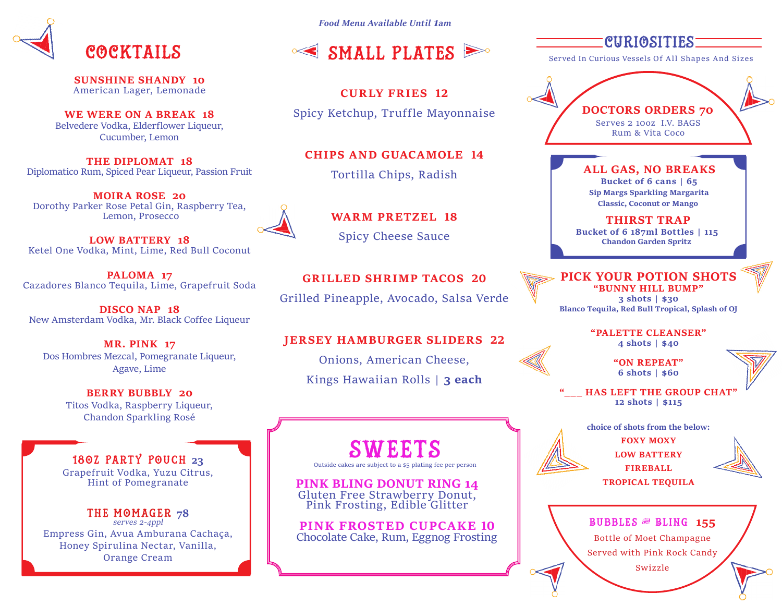

**SUNSHINE SHANDY 10** American Lager, Lemonade

**WE WERE ON A BREAK 18** Belvedere Vodka, Elderflower Liqueur, Cucumber, Lemon

**THE DIPLOMAT 18** Diplomatico Rum, Spiced Pear Liqueur, Passion Fruit

**MOIRA ROSE 20** Dorothy Parker Rose Petal Gin, Raspberry Tea, Lemon, Prosecco

**LOW BATTERY 18** Ketel One Vodka, Mint, Lime, Red Bull Coconut

**PALOMA 17** Cazadores Blanco Tequila, Lime, Grapefruit Soda

**DISCO NAP 18** New Amsterdam Vodka, Mr. Black Coffee Liqueur

**MR. PINK 17** Dos Hombres Mezcal, Pomegranate Liqueur, Agave, Lime

> **BERRY BUBBLY 20** Titos Vodka, Raspberry Liqueur, Chandon Sparkling Rosé

18oz Party Pouch **23** Grapefruit Vodka, Yuzu Citrus, Hint of Pomegranate

THE MOMAGER 78<br>serves 2-4ppl Empress Gin, Avua Amburana Cachaça, Honey Spirulina Nectar, Vanilla, Orange Cream

*Food Menu Available Until 1am*



**CURLY FRIES 12**

Spicy Ketchup, Truffle Mayonnaise

**CHIPS AND GUACAMOLE 14**

Tortilla Chips, Radish



**WARM PRETZEL 18** Spicy Cheese Sauce

**GRILLED SHRIMP TACOS 20** Grilled Pineapple, Avocado, Salsa Verde

#### **JERSEY HAMBURGER SLIDERS 22**

Onions, American Cheese, Kings Hawaiian Rolls | **3 each**

# SWEETS

**PINK BLING DONUT RING 14**<br>Gluten Free Strawberry Donut. Pink Frosting, Edible Glitter

**PINK FROSTED CUPCAKE 10** Chocolate Cake, Rum, Eggnog Frosting CURIOSITIES

Served In Curious Vessels Of All Shapes And Sizes

**DOCTORS ORDERS 70** Serves 2 10oz I.V. BAGS Rum & Vita Coco

> **ALL GAS, NO BREAKS Bucket of 6 cans | 65 Sip Margs Sparkling Margarita Classic, Coconut or Mango**

**THIRST TRAP Bucket of 6 187ml Bottles | 115 Chandon Garden Spritz**

**PICK YOUR POTION SHOTS "BUNNY HILL BUMP" 3 shots | \$30 Blanco Tequila, Red Bull Tropical, Splash of OJ**

> **"PALETTE CLEANSER" 4 shots | \$40**

> > **"ON REPEAT" 6 shots | \$60**

**HAS LEFT THE GROUP CHAT' 12 shots | \$115**

**choice of shots from the below:**

**FOXY MOXY LOW BATTERY FIREBALL TROPICAL TEQUILA**



Bubbles & Bling **155** Bottle of Moet Champagne

Served with Pink Rock Candy Swizzle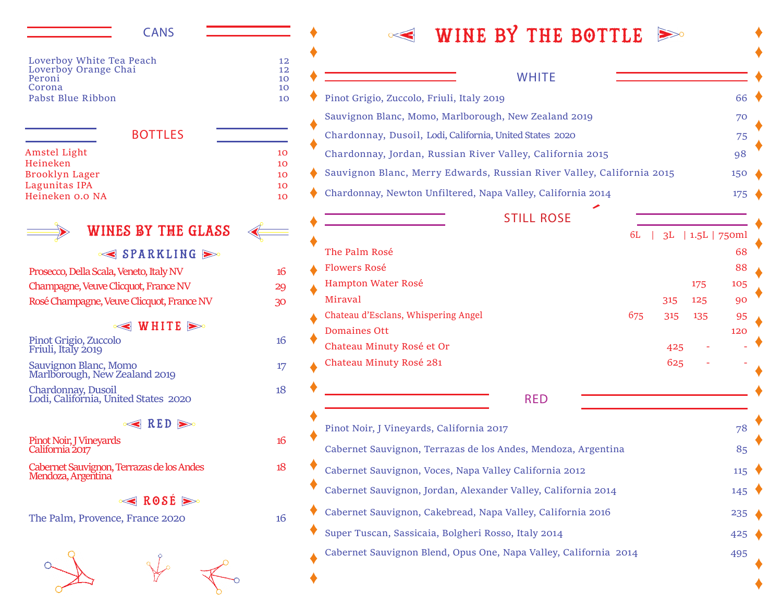#### CANS

| 12 |
|----|
| 12 |
| 10 |
| 10 |
| 10 |
|    |

#### BOTTLES

| Amstel Light    | 10 |
|-----------------|----|
| Heineken        | 10 |
| Brooklyn Lager  | 10 |
| Lagunitas IPA   | 10 |
| Heineken 0.0 NA | 10 |
|                 |    |

## WINES BY THE Glass

#### $\leq$  SPARKLING  $\geq$

Prosecco, Della Scala, Veneto, Italy NV 16 Champagne, Veuve Clicquot, France NV 29 Rosé Champagne, Veuve Clicquot, France NV 30

#### $\leq$  WHITE  $\geq$

### Pinot Grigio, Zuccolo 16 Friuli, Italy 2019

Sauvignon Blanc, Momo 17 Marlborough, New Zealand 2019

Chardonnay, Dusoil 18 Lodi, California, United States 2020

 $\leqslant$  RED  $\geqslant$ 

Pinot Noir, I Vineyards 16 California 2017

Cabernet Sauvignon, Terrazas de los Andes 18 Mendoza, Argentina

#### **ROSÉ**

The Palm, Provence, France 2020 16



## $\leq$  WINE BY THE BOTTLE  $\geq$

## Pinot Grigio, Zuccolo, Friuli, Italy 2019 66 Sauvignon Blanc, Momo, Marlborough, New Zealand 2019 70 Chardonnay, Dusoil, Lodi, California, United States 2020 75 Chardonnay, Jordan, Russian River Valley, California 2015 98 Sauvignon Blanc, Merry Edwards, Russian River Valley, California 2015 150 Chardonnay, Newton Unfiltered, Napa Valley, California 2014 175 **WHITE** Pinot Noir, J Vineyards, California 2017 **78** The Contract of the Contract of the Contract of the Contract of the Contract of the Contract of the Contract of the Contract of the Contract of the Contract of the Contract of Cabernet Sauvignon, Terrazas de los Andes, Mendoza, Argentina 85 Cabernet Sauvignon, Voces, Napa Valley California 2012 115 Cabernet Sauvignon, Jordan, Alexander Valley, California 2014 145 Cabernet Sauvignon, Cakebread, Napa Valley, California 2016 235 Super Tuscan, Sassicaia, Bolgheri Rosso, Italy 2014 425 Cabernet Sauvignon Blend, Opus One, Napa Valley, California 2014 495 RED 6L | 3L | 1.5L | 750ml The Palm Rosé 68 and 2008 and 2008 and 2008 and 2008 and 2008 and 2008 and 2008 and 2008 and 2008 and 2008 and 2008 and 2008 and 2008 and 2008 and 2008 and 2008 and 2008 and 2008 and 2008 and 2008 and 2008 and 2008 and 200 Flowers Rosé 88 Hampton Water Rosé 175 105 Miraval 315 125 90 Chateau d'Esclans, Whispering Angel 675 315 135 95 Domaines Ott 120 Chateau Minuty Rosé et Or  $425$ Chateau Minuty Rosé 281 625 - - **STILL ROSE**